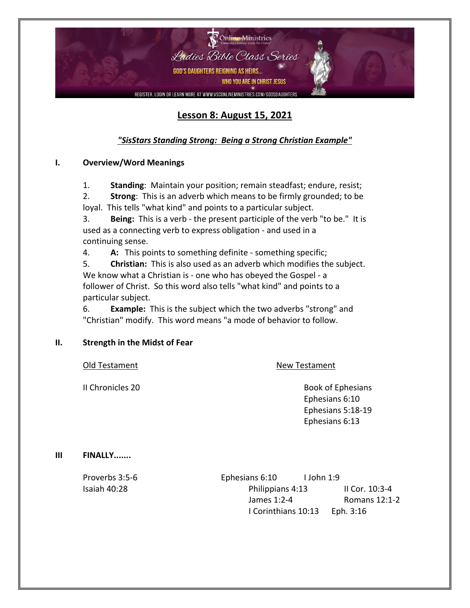

## **Lesson 8: August 15, 2021**

### *"SisStars Standing Strong: Being a Strong Christian Example"*

### **I. Overview/Word Meanings**

1. **Standing**: Maintain your position; remain steadfast; endure, resist;

2. **Strong**: This is an adverb which means to be firmly grounded; to be loyal. This tells "what kind" and points to a particular subject.

3. **Being:** This is a verb - the present participle of the verb "to be." It is used as a connecting verb to express obligation - and used in a continuing sense.

4. **A:** This points to something definite - something specific;

5. **Christian:** This is also used as an adverb which modifies the subject. We know what a Christian is - one who has obeyed the Gospel - a follower of Christ. So this word also tells "what kind" and points to a particular subject.

6. **Example:** This is the subject which the two adverbs "strong" and "Christian" modify. This word means "a mode of behavior to follow.

- **II. Strength in the Midst of Fear**
	-

Old Testament New Testament

**II Chronicles 20 Book of Ephesians** Ephesians 6:10 Ephesians 5:18-19 Ephesians 6:13

#### **III FINALLY.......**

Proverbs 3:5-6 Ephesians 6:10 I John 1:9 Isaiah 40:28 Philippians 4:13 II Cor. 10:3-4 James 1:2-4 Romans 12:1-2 I Corinthians 10:13 Eph. 3:16